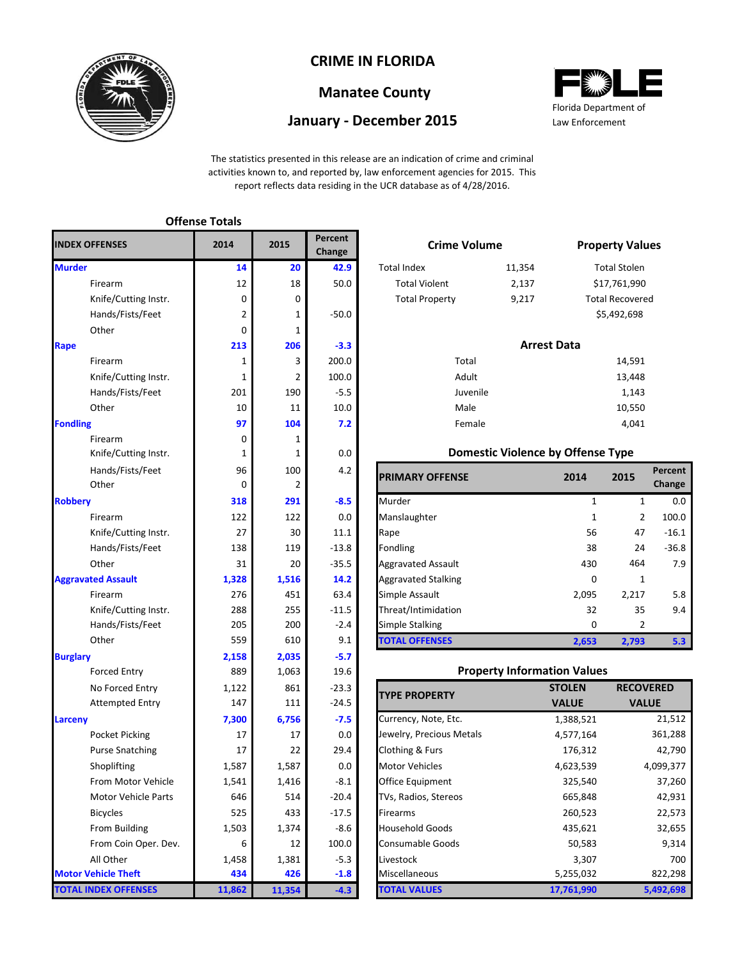

# **CRIME IN FLORIDA**

## **Manatee County**

## **January - December 2015**



The statistics presented in this release are an indication of crime and criminal activities known to, and reported by, law enforcement agencies for 2015. This report reflects data residing in the UCR database as of 4/28/2016.

#### Firearm 12 12 18 50.0 Total Violent 2,137 Knife/Cutting Instr. 0 9,217 Hands/Fists/Feet 2 1 -50.0 Other 1 0 1 **206 -3.3** Firearm 3 200.0 14,591 Knife/Cutting Instr.  $\begin{array}{|c|c|c|c|c|c|}\n\hline\n1 & 2 & 100.0 \\
\hline\n\end{array}$ Hands/Fists/Feet 201 190 -5.5 Other 10 10 11 10.0 Male 10.550 Firearm 0 0 1 Knife/Cutting Instr. 1 1 1 0.0 Hands/Fists/Feet 100 4.2 Other 2 Knife/Cutting Instr. 27 30 11.1 Hands/Fists/Feet 138 119 -13.8 Knife/Cutting Instr. 288 255 -11.5 Hands/Fists/Feet 205 200 -2.4 **2,035 -5.7** Forced Entry 1,063 19.6 No Forced Entry 1,122 861 -23.3 Attempted Entry 147 111 -24.5 **Larceny 6,756 -7.5** Pocket Picking  $17$  17 17 0.0 Purse Snatching 17 17 22 29.4 Shoplifting 1,587 1,587 0.0 From Motor Vehicle  $1,541$   $1,416$   $-8.1$ Motor Vehicle Parts  $646$  514 -20.4 Bicycles 525 433 -17.5 From Building  $1,503$   $1,374$   $-8.6$ From Coin Oper. Dev. 6 12 100.0 All Other 1,458 1,381 -5.3 **426 -1.8 11,354 -4.3** 288 205 559 **2,158** 889 27 138 31 **1,328** 1,587 1,541 646 525 1,503 1,122 147 **7,300** 17 17 **Burglary 213** 1 276 1 96 0 **318** 122 1 201 10 **97** 0 **Aggravated Assault 14** 12 0 2 0 **Fondling TOTAL INDEX OFFENSES Offense Totals Murder Rape INDEX OFFENSES Robbery** 6 1,458 **434 11,862 Motor Vehicle Theft Percent Change 2014 2015**

| 5              | -----<br>Change |                       | <b>Crime Volume</b> |                        |
|----------------|-----------------|-----------------------|---------------------|------------------------|
| 20             | 42.9            | <b>Total Index</b>    | 11,354              | <b>Total Stolen</b>    |
| 18             | 50.0            | <b>Total Violent</b>  | 2,137               | \$17,761,990           |
| 0              |                 | <b>Total Property</b> | 9,217               | <b>Total Recovered</b> |
| $\mathbf{1}$   | $-50.0$         |                       |                     | \$5,492,698            |
| $\mathbf{1}$   |                 |                       |                     |                        |
| 206            | $-3.3$          |                       | <b>Arrest Data</b>  |                        |
| 3              | 200.0           | Total                 |                     | 14,591                 |
| $\overline{2}$ | 100.0           | Adult                 |                     | 13,448                 |
| 190            | $-5.5$          | Juvenile              |                     | 1,143                  |
| 11             | 10.0            | Male                  |                     | 10,550                 |
| 104            | 7.2             | Female                |                     | 4.041                  |
|                |                 |                       |                     |                        |

#### **Domestic Violence by Offense Type**

| Hands/Fists/Feet<br>Other | 96<br>0 | 100   | 4.2     | <b>PRIMARY OFFENSE</b>     | 2014  | 2015  | Percent<br>Change |
|---------------------------|---------|-------|---------|----------------------------|-------|-------|-------------------|
|                           | 318     | 291   | $-8.5$  | Murder                     |       |       | 0.0               |
| Firearm                   | 122     | 122   | 0.0     | Manslaughter               |       | 2     | 100.0             |
| Knife/Cutting Instr.      | 27      | 30    | 11.1    | Rape                       | 56    | 47    | $-16.1$           |
| Hands/Fists/Feet          | 138     | 119   | $-13.8$ | Fondling                   | 38    | 24    | $-36.8$           |
| Other                     | 31      | 20    | $-35.5$ | <b>Aggravated Assault</b>  | 430   | 464   | 7.9               |
| ted Assault               | 1,328   | 1,516 | 14.2    | <b>Aggravated Stalking</b> | 0     |       |                   |
| Firearm                   | 276     | 451   | 63.4    | Simple Assault             | 2,095 | 2,217 | 5.8               |
| Knife/Cutting Instr.      | 288     | 255   | $-11.5$ | Threat/Intimidation        | 32    | 35    | 9.4               |
| Hands/Fists/Feet          | 205     | 200   | $-2.4$  | Simple Stalking            | 0     |       |                   |
| Other                     | 559     | 610   | 9.1     | <b>TOTAL OFFENSES</b>      | 2,653 | 2,793 | 5.3               |

#### **Property Information Values**

| <b>TYPE PROPERTY</b>     | <b>STOLEN</b> | <b>RECOVERED</b> |
|--------------------------|---------------|------------------|
|                          | <b>VALUE</b>  | <b>VALUE</b>     |
| Currency, Note, Etc.     | 1,388,521     | 21,512           |
| Jewelry, Precious Metals | 4,577,164     | 361,288          |
| Clothing & Furs          | 176,312       | 42,790           |
| <b>Motor Vehicles</b>    | 4,623,539     | 4,099,377        |
| <b>Office Equipment</b>  | 325,540       | 37,260           |
| TVs, Radios, Stereos     | 665,848       | 42,931           |
| Firearms                 | 260,523       | 22,573           |
| <b>Household Goods</b>   | 435,621       | 32,655           |
| Consumable Goods         | 50,583        | 9,314            |
| Livestock                | 3,307         | 700              |
| <b>Miscellaneous</b>     | 5,255,032     | 822,298          |
| <b>TOTAL VALUES</b>      | 17,761,990    | 5,492,698        |